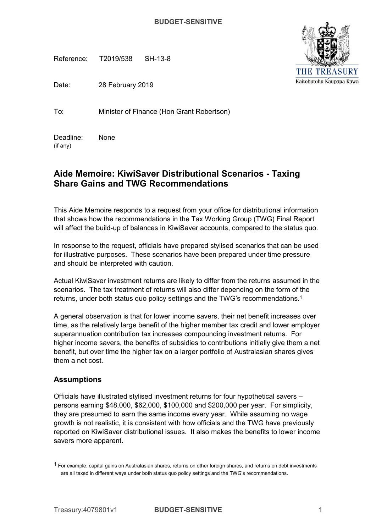Reference: T2019/538 SH-13-8

Date: 28 February 2019

To: Minister of Finance (Hon Grant Robertson)

 (if any) Deadline: None

# **Aide Memoire: KiwiSaver Distributional Scenarios - Taxing Share Gains and TWG Recommendations**

 This Aide Memoire responds to a request from your office for distributional information that shows how the recommendations in the Tax Working Group (TWG) Final Report will affect the build-up of balances in KiwiSaver accounts, compared to the status quo.

 In response to the request, officials have prepared stylised scenarios that can be used for illustrative purposes. These scenarios have been prepared under time pressure and should be interpreted with caution.

 Actual KiwiSaver investment returns are likely to differ from the returns assumed in the scenarios. The tax treatment of returns will also differ depending on the form of the returns, under both status quo policy settings and the TWG's recommendations.<sup>1</sup>

 A general observation is that for lower income savers, their net benefit increases over time, as the relatively large benefit of the higher member tax credit and lower employer superannuation contribution tax increases compounding investment returns. For higher income savers, the benefits of subsidies to contributions initially give them a net benefit, but over time the higher tax on a larger portfolio of Australasian shares gives them a net cost.

## **Assumptions**

 Officials have illustrated stylised investment returns for four hypothetical savers – persons earning \$48,000, \$62,000, \$100,000 and \$200,000 per year. For simplicity, they are presumed to earn the same income every year. While assuming no wage growth is not realistic, it is consistent with how officials and the TWG have previously reported on KiwiSaver distributional issues. It also makes the benefits to lower income savers more apparent.





 $1$  For example, capital gains on Australasian shares, returns on other foreign shares, and returns on debt investments are all taxed in different ways under both status quo policy settings and the TWG's recommendations.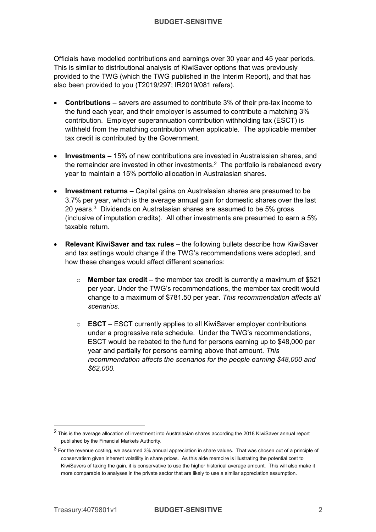Officials have modelled contributions and earnings over 30 year and 45 year periods. This is similar to distributional analysis of KiwiSaver options that was previously provided to the TWG (which the TWG published in the Interim Report), and that has also been provided to you (T2019/297; IR2019/081 refers).

- • **Contributions** savers are assumed to contribute 3% of their pre-tax income to the fund each year, and their employer is assumed to contribute a matching 3% contribution. Employer superannuation contribution withholding tax (ESCT) is withheld from the matching contribution when applicable. The applicable member tax credit is contributed by the Government.
- • **Investments** 15% of new contributions are invested in Australasian shares, and the remainder are invested in other investments.<sup>2</sup> The portfolio is rebalanced every year to maintain a 15% portfolio allocation in Australasian shares.
- • **Investment returns –** Capital gains on Australasian shares are presumed to be 3.7% per year, which is the average annual gain for domestic shares over the last 20 years. $3$  Dividends on Australasian shares are assumed to be 5% gross (inclusive of imputation credits). All other investments are presumed to earn a 5% taxable return.
- **Relevant KiwiSaver and tax rules** the following bullets describe how KiwiSaver and tax settings would change if the TWG's recommendations were adopted, and how these changes would affect different scenarios:
	- o **Member tax credit** the member tax credit is currently a maximum of \$521 per year. Under the TWG's recommendations, the member tax credit would change to a maximum of \$781.50 per year. *This recommendation affects all scenarios*.
	- o **ESCT** ESCT currently applies to all KiwiSaver employer contributions under a progressive rate schedule. Under the TWG's recommendations, ESCT would be rebated to the fund for persons earning up to \$48,000 per year and partially for persons earning above that amount. *This recommendation affects the scenarios for the people earning \$48,000 and \$62,000.*

 $^2$  This is the average allocation of investment into Australasian shares according the 2018 KiwiSaver annual report published by the Financial Markets Authority.

 $^3$  For the revenue costing, we assumed 3% annual appreciation in share values. That was chosen out of a principle of conservatism given inherent volatility in share prices. As this aide memoire is illustrating the potential cost to KiwiSavers of taxing the gain, it is conservative to use the higher historical average amount. This will also make it more comparable to analyses in the private sector that are likely to use a similar appreciation assumption.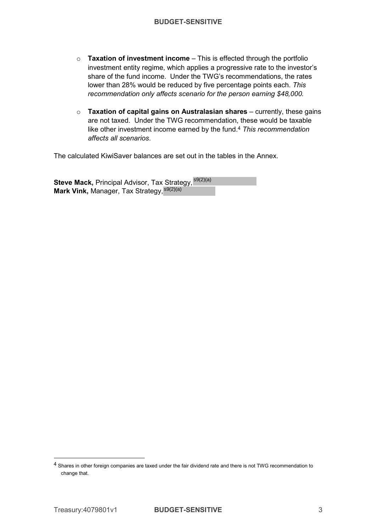- o **Taxation of investment income**  This is effected through the portfolio investment entity regime, which applies a progressive rate to the investor's share of the fund income. Under the TWG's recommendations, the rates lower than 28% would be reduced by five percentage points each. *This recommendation only affects scenario for the person earning \$48,000.*
- o **Taxation of capital gains on Australasian shares**  currently, these gains are not taxed. Under the TWG recommendation, these would be taxable like other investment income earned by the fund.4 *This recommendation affects all scenarios*.

The calculated KiwiSaver balances are set out in the tables in the Annex.

**Steve Mack,** Principal Advisor, Tax Strategy, <sup>s9(2)(a)</sup> **Mark Vink, Manager, Tax Strategy, s9(2)(a)** 

 $^4$  Shares in other foreign companies are taxed under the fair dividend rate and there is not TWG recommendation to change that.